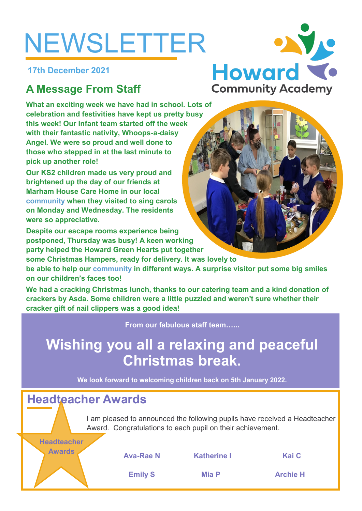# NEWSLETTER

**17th December 2021**

## **A Message From Staff**

**What an exciting week we have had in school. Lots of celebration and festivities have kept us pretty busy this week! Our Infant team started off the week with their fantastic nativity, Whoops-a-daisy Angel. We were so proud and well done to those who stepped in at the last minute to pick up another role!**

**Our KS2 children made us very proud and brightened up the day of our friends at Marham House Care Home in our local community when they visited to sing carols on Monday and Wednesday. The residents were so appreciative.** 

**Despite our escape rooms experience being postponed, Thursday was busy! A keen working party helped the Howard Green Hearts put together** 

**some Christmas Hampers, ready for delivery. It was lovely to** 

**be able to help our community in different ways. A surprise visitor put some big smiles on our children's faces too!**

**We had a cracking Christmas lunch, thanks to our catering team and a kind donation of crackers by Asda. Some children were a little puzzled and weren't sure whether their cracker gift of nail clippers was a good idea!**

**From our fabulous staff team…...**

# **Wishing you all a relaxing and peaceful Christmas break.**

**We look forward to welcoming children back on 5th January 2022.**

## **Headteacher Awards**

**Headteacher** 

I am pleased to announced the following pupils have received a Headteacher Award. Congratulations to each pupil on their achievement.

**Awards Ava-Rae N Katherine I Kai C**

**Emily S Mia P Archie H**